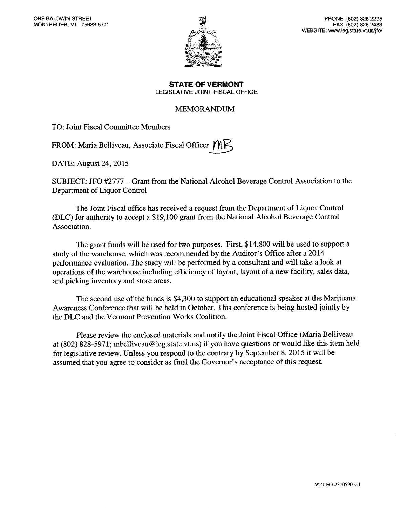

**STATE OF VERMONT**  LEGISLATIVE JOINT FISCAL OFFICE

# MEMORANDUM

TO: Joint Fiscal Committee Members

FROM: Maria Belliveau, Associate Fiscal Officer  $MK$ 

DATE: August 24, 2015

SUBJECT: JFO #2777 — Grant from the National Alcohol Beverage Control Association to the Department of Liquor Control

The Joint Fiscal office has received a request from the Department of Liquor Control (DLC) for authority to accept a \$19,100 grant from the National Alcohol Beverage Control Association.

The grant funds will be used for two purposes. First, \$14,800 will be used to support a study of the warehouse, which was recommended by the Auditor's Office after a 2014 performance evaluation. The study will be performed by a consultant and will take a look at operations of the warehouse including efficiency of layout, layout of a new facility, sales data, and picking inventory and store areas.

The second use of the funds is \$4,300 to support an educational speaker at the Marijuana Awareness Conference that will be held in October. This conference is being hosted jointly by the DLC and the Vermont Prevention Works Coalition.

Please review the enclosed materials and notify the Joint Fiscal Office (Maria Belliveau at (802) 828-5971; mbelliveau@leg.state.vt.us) if you have questions or would like this item held for legislative review. Unless you respond to the contrary by September 8, 2015 it will be assumed that you agree to consider as final the Governor's acceptance of this request.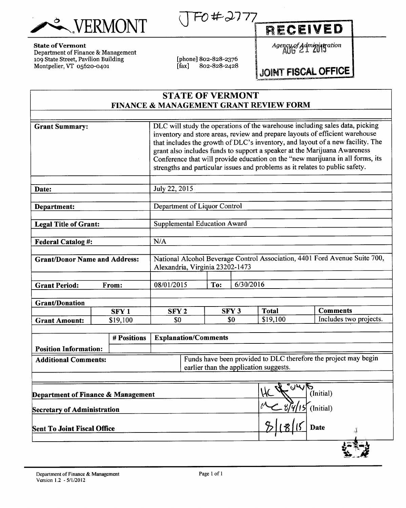WERMONT JF0#2777 RECEIVED

# **State of Vermont**

Department of Finance & Management 109 State Street, Pavilion Building Montpelier, VT 05620-0401

[phone] 802-828-2376<br>[fax] 802-828-2428  $802 - 828 - 2428$  *Agency of Administration* 

# **JOINT FISCAL OFFICE**

# **STATE OF VERMONT FINANCE & MANAGEMENT GRANT REVIEW FORM**

| <b>Sent To Joint Fiscal Office</b>   |                  |                                 |     |                  |                                        | <b>Date</b>                                                                                                                                                                                                                                                                                                                                                                                                   |
|--------------------------------------|------------------|---------------------------------|-----|------------------|----------------------------------------|---------------------------------------------------------------------------------------------------------------------------------------------------------------------------------------------------------------------------------------------------------------------------------------------------------------------------------------------------------------------------------------------------------------|
| <b>Secretary of Administration</b>   |                  |                                 |     |                  |                                        | (Initial)                                                                                                                                                                                                                                                                                                                                                                                                     |
| Department of Finance & Management   |                  |                                 |     |                  | TY 5                                   | (Initial)                                                                                                                                                                                                                                                                                                                                                                                                     |
|                                      |                  |                                 |     |                  |                                        |                                                                                                                                                                                                                                                                                                                                                                                                               |
| <b>Additional Comments:</b>          |                  |                                 |     |                  | earlier than the application suggests. | Funds have been provided to DLC therefore the project may begin                                                                                                                                                                                                                                                                                                                                               |
| <b>Position Information:</b>         |                  |                                 |     |                  |                                        |                                                                                                                                                                                                                                                                                                                                                                                                               |
|                                      | # Positions      | <b>Explanation/Comments</b>     |     |                  |                                        |                                                                                                                                                                                                                                                                                                                                                                                                               |
| <b>Grant Amount:</b>                 | \$19,100         | \$0                             |     | \$0              | \$19,100                               | Includes two projects.                                                                                                                                                                                                                                                                                                                                                                                        |
| <b>Grant/Donation</b>                | SFY <sub>1</sub> | SFY <sub>2</sub>                |     | SFY <sub>3</sub> | <b>Total</b>                           | <b>Comments</b>                                                                                                                                                                                                                                                                                                                                                                                               |
|                                      |                  |                                 |     |                  |                                        |                                                                                                                                                                                                                                                                                                                                                                                                               |
| <b>Grant Period:</b>                 | From:            | 08/01/2015                      | To: | 6/30/2016        |                                        |                                                                                                                                                                                                                                                                                                                                                                                                               |
|                                      |                  | Alexandria, Virginia 23202-1473 |     |                  |                                        |                                                                                                                                                                                                                                                                                                                                                                                                               |
| <b>Grant/Donor Name and Address:</b> |                  |                                 |     |                  |                                        | National Alcohol Beverage Control Association, 4401 Ford Avenue Suite 700,                                                                                                                                                                                                                                                                                                                                    |
| <b>Federal Catalog #:</b>            |                  | N/A                             |     |                  |                                        |                                                                                                                                                                                                                                                                                                                                                                                                               |
|                                      |                  |                                 |     |                  |                                        |                                                                                                                                                                                                                                                                                                                                                                                                               |
| <b>Legal Title of Grant:</b>         |                  | Supplemental Education Award    |     |                  |                                        |                                                                                                                                                                                                                                                                                                                                                                                                               |
| Department:                          |                  | Department of Liquor Control    |     |                  |                                        |                                                                                                                                                                                                                                                                                                                                                                                                               |
| Date:                                |                  | July 22, 2015                   |     |                  |                                        |                                                                                                                                                                                                                                                                                                                                                                                                               |
|                                      |                  |                                 |     |                  |                                        |                                                                                                                                                                                                                                                                                                                                                                                                               |
|                                      |                  |                                 |     |                  |                                        | inventory and store areas, review and prepare layouts of efficient warehouse<br>that includes the growth of DLC's inventory, and layout of a new facility. The<br>grant also includes funds to support a speaker at the Marijuana Awareness<br>Conference that will provide education on the "new marijuana in all forms, its<br>strengths and particular issues and problems as it relates to public safety. |
| <b>Grant Summary:</b>                |                  |                                 |     |                  |                                        | DLC will study the operations of the warehouse including sales data, picking                                                                                                                                                                                                                                                                                                                                  |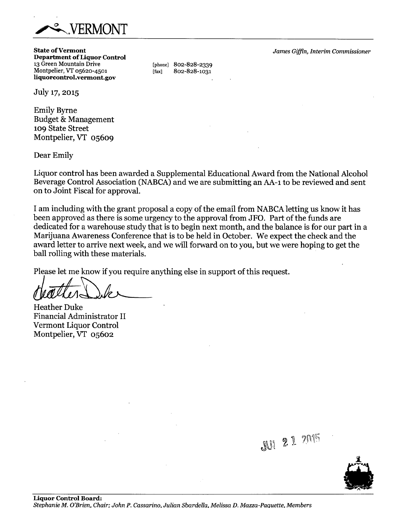

**State of Vermont Department of Liquor Control**  13 Green Mountain Drive Montpelier, VT 05620-4501 **liquorcontrol.vermont.gov** 

[phone] 802-828-2339 [fax] 802-828-1031

*James Giffin, Interim Commissioner* 

July 17, 2015

Emily Byrne Budget & Management 109 State Street Montpelier, VT 05609

Dear Emily

Liquor control has been awarded a Supplemental Educational Award from the National Alcohol Beverage Control Association (NABCA) and we are submitting an AA-1 to be reviewed and sent on to Joint Fiscal for approval.

I am including with the grant proposal a copy of the email from NABCA letting us know it has been approved as there is some urgency to the approval from JFO. Part of the funds are dedicated for a warehouse study that is to begin next month, and the balance is for our part in a Marijuana Awareness Conference that is to be held in October. We expect the check and the award letter to arrive next week, and we will forward on to you, but we were hoping to get the ball rolling with these materials.

Please let me know if you require anything else in support of this request.

Heather Duke Financial Administrator II Vermont Liquor Control Montpelier, VT 05602



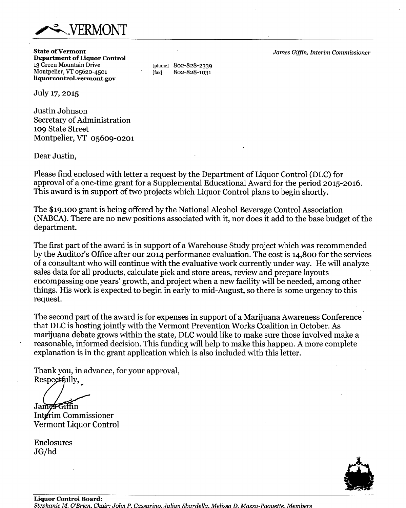

**State of Vermont Department of Liquor Control**  13 Green Mountain Drive Montpelier, VT 05620-4501 **liquorcontroLvermont.gov** 

[phone] 802-828-2339 [fax] 802-828-1031

*James Giffin, Interim Commissioner* 

July 17, 2015

Justin Johnson Secretary of Administration **109** State Street Montpelier, VT **05609-0201** 

Dear Justin,

Please find enclosed with letter a request by the Department of Liquor Control (DLC) for approval of a one-time grant for a Supplemental Educational Award for the period **2015-2016.**  This award is in support of two projects which Liquor Control plans to begin shortly.

The \$19,100 grant is being offered by the National Alcohol Beverage Control Association (NABCA). There are no new positions associated with it, nor does it add to the base budget of the department.

The first part of the award is in support of a Warehouse Study project which was recommended by the Auditor's Office after our **2014** performance evaluation. The cost is 14,800 for the services of a consultant who will continue with the evaluative work currently under way. He will analyze sales data for all products, calculate pick and store areas, review and prepare layouts encompassing one years' growth, and project when a new facility will be needed, among other things. His work is expected to begin in early to mid-August, so there is some urgency to this request.

The second part of the award is for expenses in support of a Marijuana Awareness Conference that DLC is hosting jointly with the Vermont Prevention Works Coalition in October. As marijuana debate grows within the state, DLC would like to make sure those involved make a reasonable, informed decision. This funding will help to make this happen. A more complete explanation is in the grant application which is also included with this letter.

Thank you, in advance, for your approval, Respectfully,

James Giffin IntØrim Commissioner Vermont Liquor Control

Enclosures JG/hd

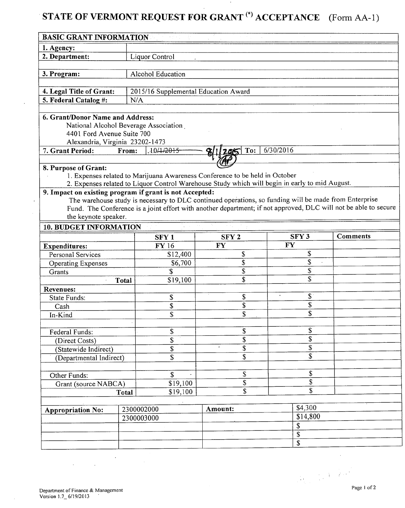# **STATE OF VERMONT REQUEST FOR GRANT (\*) ACCEPTANCE** (Form AA-1)

| <b>BASIC GRANT INFORMATION</b>                          |              |                                      |                                                                                                       |                          |                                                                                                                 |
|---------------------------------------------------------|--------------|--------------------------------------|-------------------------------------------------------------------------------------------------------|--------------------------|-----------------------------------------------------------------------------------------------------------------|
| 1. Agency:                                              |              |                                      |                                                                                                       |                          |                                                                                                                 |
| 2. Department:                                          |              | Liquor Control                       |                                                                                                       |                          |                                                                                                                 |
|                                                         |              |                                      |                                                                                                       |                          |                                                                                                                 |
| 3. Program:                                             |              | Alcohol Education                    |                                                                                                       |                          |                                                                                                                 |
|                                                         |              |                                      |                                                                                                       |                          |                                                                                                                 |
| 4. Legal Title of Grant:                                |              | 2015/16 Supplemental Education Award |                                                                                                       |                          |                                                                                                                 |
| 5. Federal Catalog #:                                   | N/A          |                                      |                                                                                                       |                          |                                                                                                                 |
|                                                         |              |                                      |                                                                                                       |                          |                                                                                                                 |
| 6. Grant/Donor Name and Address:                        |              |                                      |                                                                                                       |                          |                                                                                                                 |
| National Alcohol Beverage Association                   |              |                                      |                                                                                                       |                          |                                                                                                                 |
| 4401 Ford Avenue Suite 700                              |              |                                      |                                                                                                       |                          |                                                                                                                 |
| Alexandria, Virginia 23202-1473                         |              |                                      |                                                                                                       |                          |                                                                                                                 |
| 7. Grant Period:                                        | From:        | 10/1/2015                            | To:                                                                                                   | 6/30/2016                |                                                                                                                 |
|                                                         |              |                                      |                                                                                                       |                          |                                                                                                                 |
| 8. Purpose of Grant:                                    |              |                                      |                                                                                                       |                          |                                                                                                                 |
|                                                         |              |                                      | 1. Expenses related to Marijuana Awareness Conference to be held in October                           |                          |                                                                                                                 |
|                                                         |              |                                      | 2. Expenses related to Liquor Control Warehouse Study which will begin in early to mid August.        |                          |                                                                                                                 |
| 9. Impact on existing program if grant is not Accepted: |              |                                      |                                                                                                       |                          |                                                                                                                 |
|                                                         |              |                                      | The warehouse study is necessary to DLC continued operations, so funding will be made from Enterprise |                          |                                                                                                                 |
|                                                         |              |                                      |                                                                                                       |                          | Fund. The Conference is a joint effort with another department; if not approved, DLC will not be able to secure |
| the keynote speaker.                                    |              |                                      |                                                                                                       |                          |                                                                                                                 |
| <b>10. BUDGET INFORMATION</b>                           |              |                                      |                                                                                                       |                          |                                                                                                                 |
|                                                         |              | SFY <sub>1</sub>                     | SFY <sub>2</sub>                                                                                      | SFY <sub>3</sub>         | <b>Comments</b>                                                                                                 |
| <b>Expenditures:</b>                                    |              | FY 16                                | <b>FY</b>                                                                                             | <b>FY</b>                |                                                                                                                 |
|                                                         |              |                                      |                                                                                                       |                          |                                                                                                                 |
| Personal Services                                       |              | \$12,400                             | \$                                                                                                    | $\mathbb{S}$             |                                                                                                                 |
| <b>Operating Expenses</b>                               |              | \$6,700                              | \$                                                                                                    | $\mathbf{\hat{z}}$       |                                                                                                                 |
| Grants                                                  |              | \$                                   | $\overline{\$}$                                                                                       | \$                       |                                                                                                                 |
|                                                         | Total        | \$19,100                             | \$                                                                                                    | \$                       |                                                                                                                 |
| <b>Revenues:</b>                                        |              |                                      |                                                                                                       |                          |                                                                                                                 |
| <b>State Funds:</b>                                     |              | \$                                   | \$                                                                                                    | $\mathbb{S}$             |                                                                                                                 |
| Cash                                                    |              | \$                                   | \$                                                                                                    | \$                       |                                                                                                                 |
| In-Kind                                                 |              | \$                                   | \$                                                                                                    | \$                       |                                                                                                                 |
|                                                         |              |                                      |                                                                                                       |                          |                                                                                                                 |
| Federal Funds:                                          |              | \$                                   | \$                                                                                                    | \$                       |                                                                                                                 |
| (Direct Costs)                                          |              | \$                                   | \$                                                                                                    | \$                       |                                                                                                                 |
| (Statewide Indirect)                                    |              | \$                                   | \$                                                                                                    | $\overline{\mathcal{S}}$ |                                                                                                                 |
| (Departmental Indirect)                                 |              | \$                                   | \$                                                                                                    | $\overline{\$}$          |                                                                                                                 |
|                                                         |              |                                      |                                                                                                       |                          |                                                                                                                 |
| Other Funds:                                            |              | \$                                   | \$                                                                                                    | \$                       |                                                                                                                 |
| Grant (source NABCA)                                    |              | \$19,100                             | \$                                                                                                    | $\overline{\$}$          |                                                                                                                 |
|                                                         | <b>Total</b> | \$19,100                             | $\overline{\$}$                                                                                       | $\overline{\mathcal{S}}$ |                                                                                                                 |
|                                                         |              |                                      |                                                                                                       |                          |                                                                                                                 |
|                                                         | 2300002000   |                                      | Amount:                                                                                               | \$4,300                  |                                                                                                                 |
| <b>Appropriation No:</b>                                |              |                                      |                                                                                                       | \$14,800                 |                                                                                                                 |
|                                                         | 2300003000   |                                      |                                                                                                       | \$                       |                                                                                                                 |
|                                                         |              |                                      |                                                                                                       | \$                       |                                                                                                                 |
|                                                         |              |                                      |                                                                                                       | \$                       |                                                                                                                 |

 $\overline{\phantom{a}}$ 

 $\mathbb{R}^2$ 

 $\ddot{\phantom{1}}$ 

 $\sim$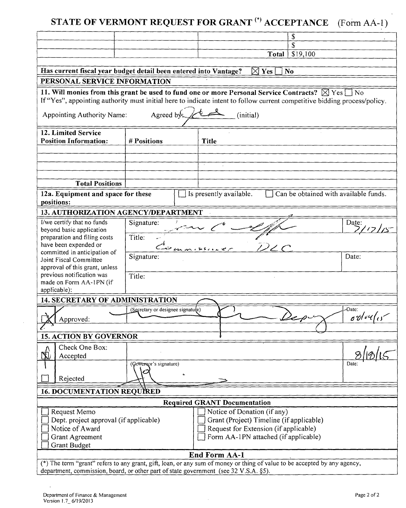|                                                                  |                                   | STATE OF VERMONT REQUEST FOR GRANT <sup>(*)</sup> ACCEPTANCE                                                                                                                                                                                        | $(Form AA-1)$     |
|------------------------------------------------------------------|-----------------------------------|-----------------------------------------------------------------------------------------------------------------------------------------------------------------------------------------------------------------------------------------------------|-------------------|
|                                                                  |                                   | \$                                                                                                                                                                                                                                                  |                   |
|                                                                  |                                   | \$                                                                                                                                                                                                                                                  |                   |
|                                                                  |                                   | \$19,100<br>Total                                                                                                                                                                                                                                   |                   |
| Has current fiscal year budget detail been entered into Vantage? |                                   | $\boxtimes$ Yes<br><b>No</b>                                                                                                                                                                                                                        |                   |
| PERSONAL SERVICE INFORMATION                                     |                                   |                                                                                                                                                                                                                                                     |                   |
| Appointing Authority Name:                                       | Agreed by:                        | 11. Will monies from this grant be used to fund one or more Personal Service Contracts? $\boxtimes$ Yes [<br>If "Yes", appointing authority must initial here to indicate intent to follow current competitive bidding process/policy.<br>(initial) | $\blacksquare$ No |
| 12. Limited Service<br><b>Position Information:</b>              | # Positions                       | <b>Title</b>                                                                                                                                                                                                                                        |                   |
|                                                                  |                                   |                                                                                                                                                                                                                                                     |                   |
|                                                                  |                                   |                                                                                                                                                                                                                                                     |                   |
|                                                                  |                                   |                                                                                                                                                                                                                                                     |                   |
| <b>Total Positions</b>                                           |                                   |                                                                                                                                                                                                                                                     |                   |
| 12a. Equipment and space for these<br>positions:                 |                                   | Can be obtained with available funds.<br>Is presently available.                                                                                                                                                                                    |                   |
| 13. AUTHORIZATION AGENCY/DEPARTMENT                              |                                   |                                                                                                                                                                                                                                                     |                   |
| I/we certify that no funds                                       | Signature:                        |                                                                                                                                                                                                                                                     | Date:             |
| beyond basic application                                         |                                   |                                                                                                                                                                                                                                                     |                   |
| preparation and filing costs<br>have been expended or            | Title:                            |                                                                                                                                                                                                                                                     |                   |
| committed in anticipation of                                     | Signature:                        |                                                                                                                                                                                                                                                     | Date:             |
| Joint Fiscal Committee<br>approval of this grant, unless         |                                   |                                                                                                                                                                                                                                                     |                   |
| previous notification was                                        | Title:                            |                                                                                                                                                                                                                                                     |                   |
| made on Form AA-1PN (if<br>applicable):                          |                                   |                                                                                                                                                                                                                                                     |                   |
| 14. SECRETARY OF ADMINISTRATION                                  |                                   |                                                                                                                                                                                                                                                     |                   |
|                                                                  | (Secretary or designee signature) |                                                                                                                                                                                                                                                     | Date:             |
| Approved:                                                        |                                   | Dep.                                                                                                                                                                                                                                                | $\sigma v/vq'$    |
| <b>15. ACTION BY GOVERNOR</b>                                    |                                   |                                                                                                                                                                                                                                                     |                   |
| Check One Box:                                                   |                                   |                                                                                                                                                                                                                                                     |                   |
| Ą<br>Accepted                                                    |                                   |                                                                                                                                                                                                                                                     |                   |
|                                                                  | (Governor's signature)            |                                                                                                                                                                                                                                                     | Date:             |
| Rejected                                                         | င                                 |                                                                                                                                                                                                                                                     |                   |
| <b>16. DOCUMENTATION REQUIRED</b>                                |                                   |                                                                                                                                                                                                                                                     |                   |
|                                                                  |                                   | <b>Required GRANT Documentation</b>                                                                                                                                                                                                                 |                   |
| Request Memo                                                     |                                   | Notice of Donation (if any)                                                                                                                                                                                                                         |                   |
| Dept. project approval (if applicable)                           |                                   | Grant (Project) Timeline (if applicable)                                                                                                                                                                                                            |                   |
| Notice of Award<br><b>Grant Agreement</b>                        |                                   | Request for Extension (if applicable)<br>Form AA-1PN attached (if applicable)                                                                                                                                                                       |                   |
|                                                                  |                                   |                                                                                                                                                                                                                                                     |                   |

# End Form AA-1

(\*) The term "grant" refers to any grant, gift, loan, or any sum of money or thing of value to be accepted by any agency, department, commission, board, or other part of state government (see 32 V.S.A. §5).

Grant Budget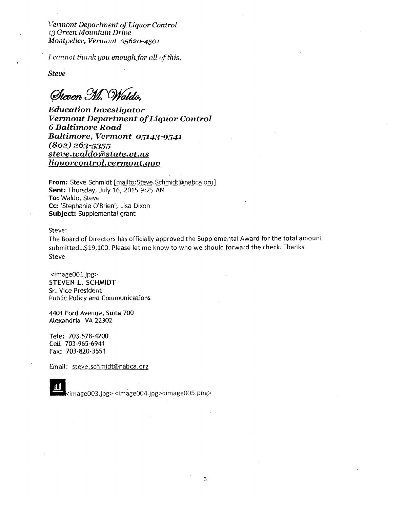*Vermont Department of Liquor Control /3 Green Mountain Drive Montpelier, Vermont 05620-4501* 

*[ cannot thank you enough for all of this.* 

*Steve* 

offmtv *91(6)/cahk,* 

*Education Investigator Vermont Department of Liquor Control*  6 *Baltimore Road Baltimore, Vermont 05143-9541 (802) 263-5355 steve.ivaldo(a)state.vt.us liquorcontrol.vermoni.gov* 

**From:** Steve Schmidt [mailto:Steve.Schmidt@nabca.org] **Sent:** Thursday, July 16, 2015 9:25 AM **To:** Waldo, Steve **Cc:** 'Stephanie O'Brien'; Lisa Dixon **Subject:** Supplemental grant

Steve:

The Board of Directors has officially approved the Supplemental Award for the total amount submitted...\$19,100. Please let me know to who we should forward the check. Thanks. Steve

<image001,jpg> STEVEN L. SCHMIDT Sr. Vice President Public Policy and Communications

4401 Ford Avenue, Suite 700 Alexandria, VA 22302

Tete: 703.578-4200 Cell: 703-965-6941 Fax: 703-820-3551

Email: steve.schmidt@nabca.org

**El**<image003.jpg> <irr6ge004.jpg><image005.png>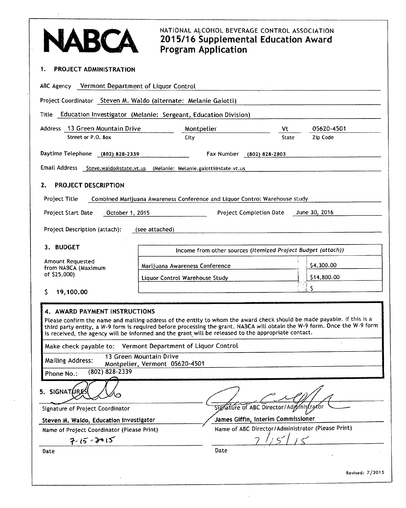| ABCA                                                                                                                                                                                                                                                                                                                                                       | <b>Program Application</b>                                                 | NATIONAL ALCOHOL BEVERAGE CONTROL ASSOCIATION<br>2015/16 Supplemental Education Award |              |                  |
|------------------------------------------------------------------------------------------------------------------------------------------------------------------------------------------------------------------------------------------------------------------------------------------------------------------------------------------------------------|----------------------------------------------------------------------------|---------------------------------------------------------------------------------------|--------------|------------------|
| <b>PROJECT ADMINISTRATION</b><br>1.                                                                                                                                                                                                                                                                                                                        |                                                                            |                                                                                       |              |                  |
| ABC Agency Vermont Department of Liquor Control                                                                                                                                                                                                                                                                                                            |                                                                            |                                                                                       |              |                  |
| Project Coordinator Steven M. Waldo (alternate: Melanie Gaiotti)                                                                                                                                                                                                                                                                                           |                                                                            |                                                                                       |              |                  |
| Education Investigator (Melanie: Sergeant, Education Division)<br>Title                                                                                                                                                                                                                                                                                    |                                                                            |                                                                                       |              |                  |
| Address 13 Green Mountain Drive                                                                                                                                                                                                                                                                                                                            | Montpelier                                                                 |                                                                                       | Vt           | 05620-4501       |
| Street or P.O. Box                                                                                                                                                                                                                                                                                                                                         | City                                                                       |                                                                                       | <b>State</b> | Zip Code         |
| Daytime Telephone<br>(802) 828-2339                                                                                                                                                                                                                                                                                                                        |                                                                            | Fax Number (802) 828-2803                                                             |              |                  |
| Email Address                                                                                                                                                                                                                                                                                                                                              | Steve.waldo@state.vt.us (Melanie: Melanie.gaiotti@state.vt.us              |                                                                                       |              |                  |
| <b>PROJECT DESCRIPTION</b><br>2.                                                                                                                                                                                                                                                                                                                           |                                                                            |                                                                                       |              |                  |
|                                                                                                                                                                                                                                                                                                                                                            |                                                                            |                                                                                       |              |                  |
| <b>Project Title</b>                                                                                                                                                                                                                                                                                                                                       | Combined Marijuana Awareness Conference and Liquor Control Warehouse study |                                                                                       |              |                  |
| Project Start Date<br>October 1, 2015                                                                                                                                                                                                                                                                                                                      |                                                                            | <b>Project Completion Date</b>                                                        |              | June 30, 2016    |
| Project Description (attach):                                                                                                                                                                                                                                                                                                                              | (see attached)                                                             |                                                                                       |              |                  |
| 3. BUDGET                                                                                                                                                                                                                                                                                                                                                  |                                                                            | Income from other sources (Itemized Project Budget (attach))                          |              |                  |
| Amount Requested                                                                                                                                                                                                                                                                                                                                           |                                                                            |                                                                                       |              |                  |
| from NABCA (Maximum<br>of \$25,000)                                                                                                                                                                                                                                                                                                                        | Marijuana Awareness Conference                                             |                                                                                       |              | \$4,300.00       |
|                                                                                                                                                                                                                                                                                                                                                            | Liquor Control Warehouse Study                                             |                                                                                       |              | \$14,800.00<br>S |
| 19,100.00<br>S.                                                                                                                                                                                                                                                                                                                                            |                                                                            |                                                                                       |              |                  |
| 4. AWARD PAYMENT INSTRUCTIONS                                                                                                                                                                                                                                                                                                                              |                                                                            |                                                                                       |              |                  |
| Please confirm the name and mailing address of the entity to whom the award check should be made payable. If this is a<br>third party entity, a W-9 form is required before processing the grant. NABCA will obtain the W-9 form. Once the W-9 form<br>is received, the agency will be informed and the grant will be released to the appropriate contact. |                                                                            |                                                                                       |              |                  |
| Make check payable to: Vermont Department of Liquor Control                                                                                                                                                                                                                                                                                                |                                                                            |                                                                                       |              |                  |
| <b>Mailing Address:</b>                                                                                                                                                                                                                                                                                                                                    | 13 Green Mountain Drive<br>Montpelier, Vermont 05620-4501                  |                                                                                       |              |                  |
| (802) 828-2339<br>Phone No.:                                                                                                                                                                                                                                                                                                                               |                                                                            |                                                                                       |              |                  |
| 5. SIGNATURE                                                                                                                                                                                                                                                                                                                                               |                                                                            |                                                                                       |              |                  |
| Signature of Project Coordinator                                                                                                                                                                                                                                                                                                                           |                                                                            | Signature of ABC Director/Administrator                                               |              |                  |
| Steven M. Waldo, Education Investigator                                                                                                                                                                                                                                                                                                                    |                                                                            | James Giffin, Interim Commissioner                                                    |              |                  |
| Name of Project Coordinator (Please Print)<br>$7.15 - 3015$                                                                                                                                                                                                                                                                                                |                                                                            | Name of ABC Director/Administrator (Please Print)                                     |              |                  |
| Date                                                                                                                                                                                                                                                                                                                                                       |                                                                            | Date                                                                                  |              |                  |
|                                                                                                                                                                                                                                                                                                                                                            |                                                                            |                                                                                       |              |                  |
|                                                                                                                                                                                                                                                                                                                                                            |                                                                            |                                                                                       |              | Revised: 7/2015  |
|                                                                                                                                                                                                                                                                                                                                                            |                                                                            |                                                                                       |              |                  |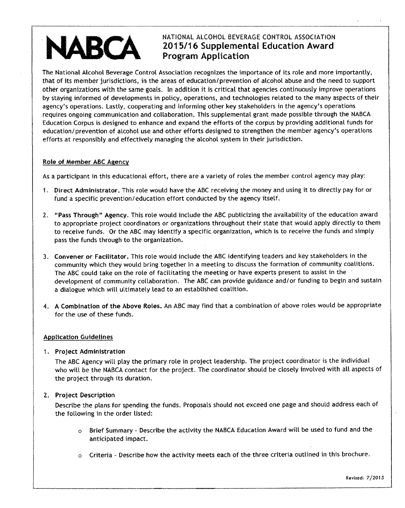# NATIONAL ALCOHOL BEVERAGE CONTROL ASSOCIATION **2015/16 Supplemental Education Award Program Application**

The National Alcohol Beverage Control Association recognizes the importance of its role and more importantly, that of its member jurisdictions, in the areas of education/prevention of alcohol abuse and the need to support other organizations with the same goals. In addition it is critical that agencies continuously improve operations by staying informed of developments in policy, operations, and technologies related to the many aspects of their agency's operations. Lastly, cooperating and informing other key stakeholders in the agency's operations requires ongoing communication and collaboration. This supplemental grant made possible through the NABCA Education Corpus is designed to enhance and expand the efforts of the corpus by providing additional funds for education/prevention of alcohol use and other efforts designed to strengthen the member agency's operations efforts at responsibly and effectively managing the alcohol system in their jurisdiction.

# **Role of Member ABC Agency**

**JARCA** 

As a participant in this educational effort, there are a variety of roles the member control agency may play:

- 1 **Direct Administrator.** This role would have the ABC receiving the money and using it to directly pay for or fund a specific prevention/education effort conducted by the agency itself.
- **2. "Pass Through" Agency.** This role would include the ABC publicizing the availability of the education award to appropriate project coordinators or organizations throughout their state that would apply directly to them to receive funds. Or the ABC may identify a specific organization, which is to receive the funds and simply pass the funds through to the organization.
- **3. Convener or Facilitator.** This role would include the ABC identifying leaders and key stakeholders in the community which they would bring together in a meeting to discuss the formation of community coalitions. The ABC could take on the role of facilitating the meeting or have experts present to assist in the development of community collaboration. The ABC can provide guidance and/or funding to begin and sustain a dialogue which will ultimately lead to an established coalition.
- **4. A Combination of the Above Roles.** An ABC may find that a combination of above roles would be appropriate for the use of these funds.

# Application Guidelines

# **1. Project Administration**

The ABC Agency will play the primary role in project leadership. The project coordinator is the individual who will be the NABCA contact for the project. The coordinator should be closely involved with all aspects of the project through its duration.

# **2. Project Description**

Describe the plans for spending the funds. Proposals should not exceed one page and should address each of the following in the order listed:

- o Brief Summary Describe the activity the NABCA Education Award will be used to fund and the anticipated impact.
- Criteria Describe how the activity meets each of the three criteria outlined in this brochure.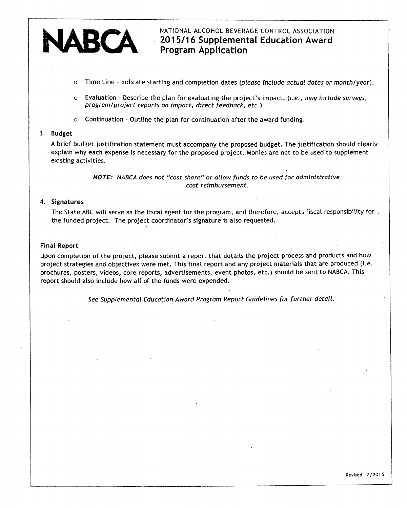# ARCA

# NATIONAL ALCOHOL BEVERAGE CONTROL ASSOCIATION **• 2015/16 Supplemental Education Award Program Application**

- o Time Line Indicate starting and completion dates (please include actual dates or month/year).
- $\circ$  Evaluation Describe the plan for evaluating the project's impact. (i.e., may include surveys, program/project reports on impact, direct feedback, etc.)
- o Continuation Outline the plan for continuation after the award funding.

# **3. Budget**

A brief budget justification statement must accompany the proposed budget. The justification should clearly explain why each expense is necessary for the proposed project. Monies are not to be used to supplement existing activities.

> **NOTE:** NABCA does not "cost share" or allow funds to be used for administrative cost reimbursement.

# **4. Signatures**

The State ABC will serve as the fiscal agent for the program, and therefore, accepts fiscal responsibility for , the funded project. The project coordinator's signature is also requested.

## **Final Report**

Upon completion of the project, please submit a report that details the project process and products and how project strategies and objectives were met. This final report and any project materials that are produced (i.e. brochures, posters, videos, core reports, advertisements, event photos, etc.) should be sent to NABCA. This report should also include how all of the funds were expended.

See Supplemental Education Award Program Report Guidelines for further detail.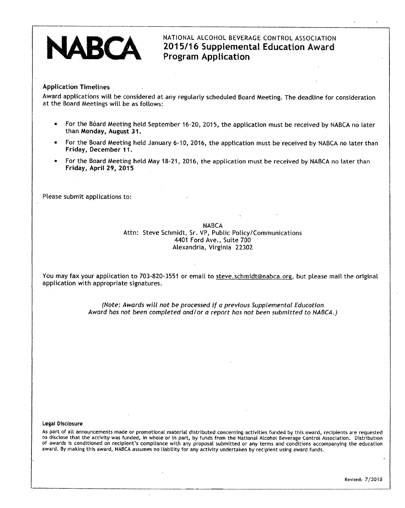# NATIONAL ALCOHOL BEVERAGE CONTROL ASSOCIATION **2015/16 Supplemental Education Award Program Application**

# **Application Timelines**

Award applications will be considered at any regularly scheduled Board Meeting. The deadline for consideration at the Board Meetings will be as follows:

- For the Board Meeting held September 16-20, 2015, the application must be received by NABCA no later than **Monday, August 31.**
- For the Board Meeting held January 6-10, 2016, the application must be received by NABCA no later than **Friday, December 11.**
- For the Board Meeting held May 18-21, 2016, the application must be received by NABCA no later than **Friday, April 29, 2015**

Please submit applications to:

NABCA Attn: Steve Schmidt, Sr. VP, Public Policy/Communications 4401 Ford Ave., Suite 700 Alexandria, Virginia 22302

You may fax your application to 703-820-3551 or email to steve.schmidt@nabca.orq, but please mail the original application with appropriate signatures.

> (Note: Awards will not be processed if a previous Supplemental Education Award has not been completed and/or a report has not been submitted to NABCA.)

#### Legal Disclosure

As part of all announcements made or promotional material distributed concerning activities funded by this award, recipients are requested to disclose that the activity was funded, in whole or in part, by funds from the National Alcohol Beverage Control Association. Distribution of awards is conditioned on recipient's compliance with any proposal submitted or any terms and conditions accompanying the education award. By making this award, NABCA assumes no liability for any activity undertaken by recipient using award funds.

Revised: 7/2015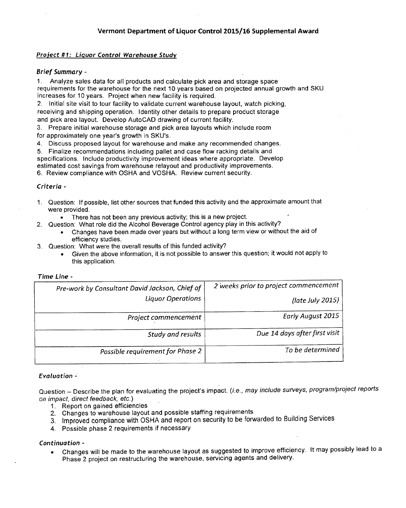# **Project #1: Liquor Control Warehouse Study**

# Brief Summary -

1. Analyze sales data for all products and calculate pick area and storage space requirements for the warehouse for the next 10 years based on projected annual growth and SKU increases for 10 years. Project when new facility is required.

2. Initial site visit to tour facility to validate current warehouse layout, watch picking, receiving and shipping operation. Identity other details to prepare product storage and pick area layout. Develop AutoCAD drawing of current facility.

3. Prepare initial warehouse storage and pick area layouts which include room for approximately one year's growth in SKU's.

4. Discuss proposed layout for warehouse and make any recommended changes.

5. Finalize recommendations including pallet and case flow racking details and

specifications. Include productivity improvement ideas where appropriate. Develop

estimated cost savings from warehouse relayout and productivity improvements.

6. Review compliance with OSHA and VOSHA. Review current security.

## Criteria -

- 1. Question: If possible, list other sources that funded this activity and the approximate amount that were provided.
	- There has not been any previous activity; this is a new project.
- 2. Question: What role did the Alcohol Beverage Control agency play in this activity?
	- Changes have been made over years but without a long term view or without the aid of efficiency studies.
- 3. Question: What were the overall results of this funded activity?
	- Given the above information, it is not possible to answer this question; it would not apply to this application.

|                                       | Time Line -                                    |
|---------------------------------------|------------------------------------------------|
| 2 weeks prior to project commencement | Pre-work by Consultant David Jackson, Chief of |
| (late July 2015)                      | Liquor Operations                              |
| Early August 2015                     | Project commencement                           |
| Due 14 days after first visit         | Study and results                              |
| To be determined                      | Possible requirement for Phase 2               |

#### **Evaluation -**

Question - Describe the plan for evaluating the project's impact. (i.e., may include surveys, program/project reports on impact, direct feedback, etc.)

- 1. Report on gained efficiencies
- 2. Changes to warehouse layout and possible staffing requirements
- 3. Improved compliance with OSHA and report on security to be forwarded to Building Services
- 4. Possible phase 2 requirements if necessary

# **Continuation -**

• Changes will be made to the warehouse layout as suggested to improve efficiency. It may possibly lead to a Phase 2 project on restructuring the warehouse, servicing agents and delivery.